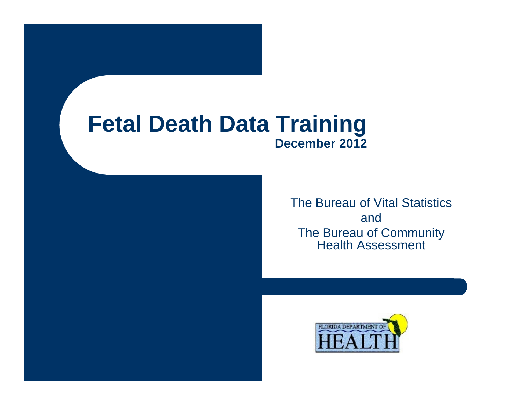#### **Fetal Death Data Training December 2012**

The Bureau of Vital Statistics andThe Bureau of Community Health Assessment

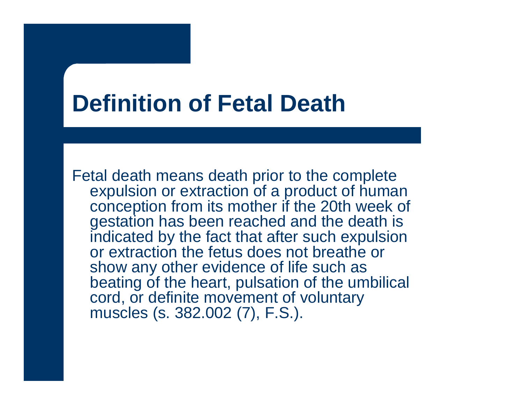### **Definition of Fetal Death**

Fetal death means death prior to the complete expulsion or extraction of a product of human conception from its mother if the 20th week of gestation has been reached and the death is indicated by the fact that after such expulsion or extraction the fetus does not breathe or show any other evidence of life such as beating of the heart, pulsation of the umbilical cord, or definite movement of voluntary muscles (s. 382.002 (7), F.S.).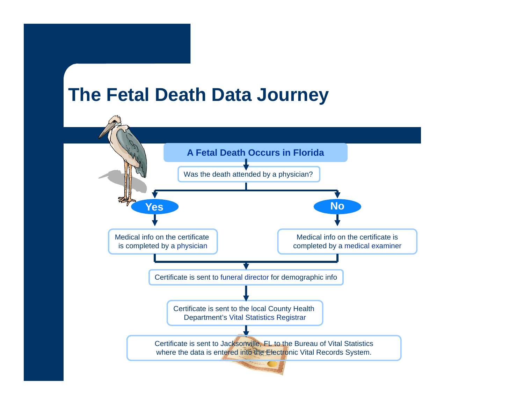#### **The Fetal Death Data Journey**

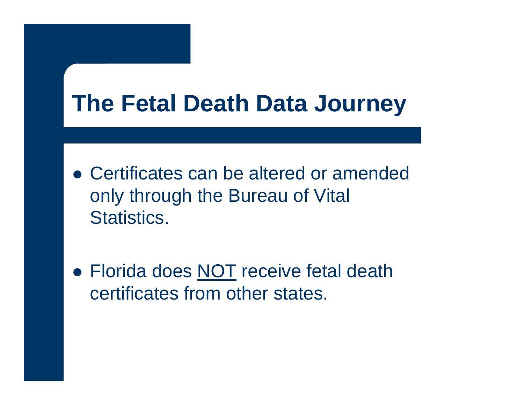### **The Fetal Death Data Journey**

- Certificates can be altered or amended only through the Bureau of Vital Statistics.
- Florida does NOT receive fetal death certificates from other states.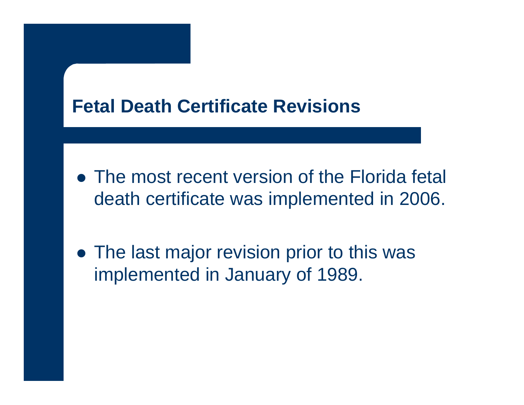#### **Fetal Death Certificate Revisions**

- The most recent version of the Florida fetal death certificate was implemented in 2006.
- The last major revision prior to this was implemented in January of 1989.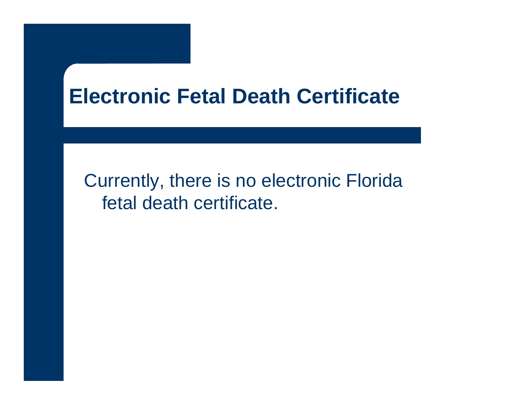### **Electronic Fetal Death Certificate**

Currently, there is no electronic Florida fetal death certificate.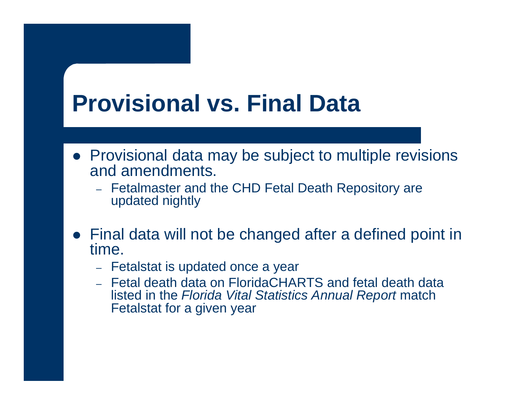## **Provisional vs. Final Data**

- Provisional data may be subject to multiple revisions and amendments.
	- Fetalmaster and the CHD Fetal Death Repository are updated nightly
- Final data will not be changed after a defined point in time.
	- Fetalstat is updated once a year
	- Fetal death data on FloridaCHARTS and fetal death data listed in the *Florida Vital Statistics Annual Report* match Fetalstat for a given year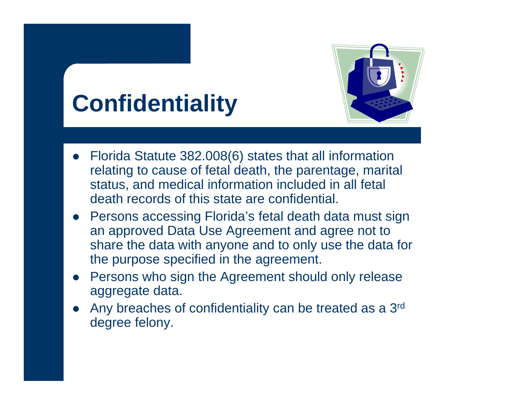# **Confidentiality**



- $\bullet$  Florida Statute 382.008(6) states that all information relating to cause of fetal death, the parentage, marital status, and medical information included in all fetal death records of this state are confidential.
- Persons accessing Florida's fetal death data must sign an approved Data Use Agreement and agree not to share the data with anyone and to only use the data for the purpose specified in the agreement.
- Persons who sign the Agreement should only release aggregate data.
- $\bullet$  Any breaches of confidentiality can be treated as a 3rd degree felony.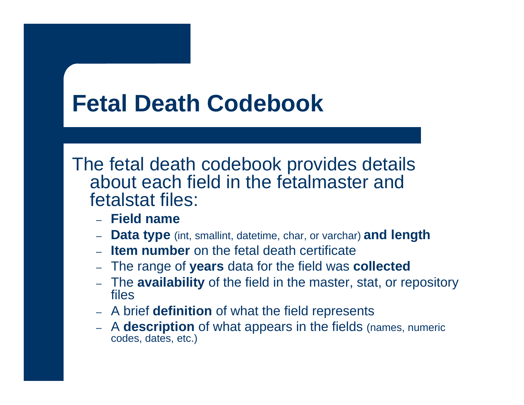## **Fetal Death Codebook**

The fetal death codebook provides details about each field in the fetalmaster and fetalstat files:

- **Field name**
- **Data type** (int, smallint, datetime, char, or varchar) **and length**
- **Item number** on the fetal death certificate
- The range of **years** data for the field was **collected**
- The **availability** of the field in the master, stat, or repository files
- A brief **definition** of what the field represents
- A **description** of what appears in the fields (names, numeric codes, dates, etc.)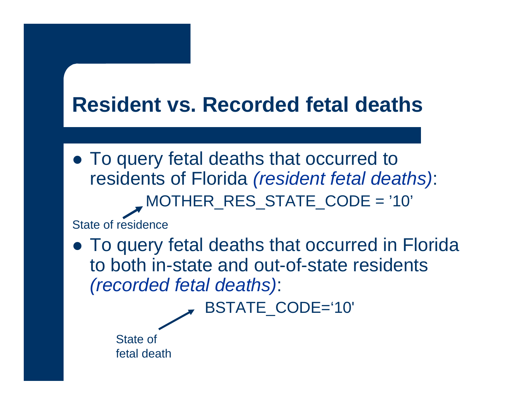### **Resident vs. Recorded fetal deaths**

• To query fetal deaths that occurred to residents of Florida *(resident fetal deaths)*: MOTHER\_RES\_STATE\_CODE = '10'

State of residence

• To query fetal deaths that occurred in Florida to both in-state and out-of-state residents*(recorded fetal deaths)*:

BSTATE\_CODE='10'

State of fetal death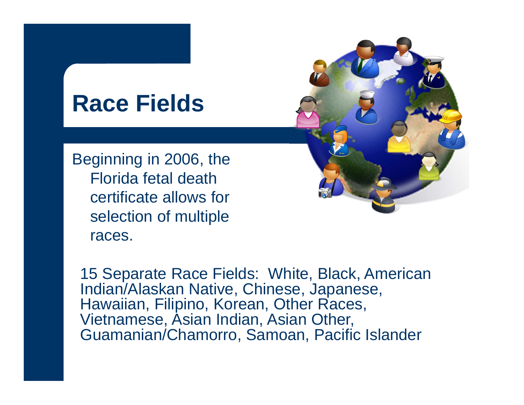### **Race Fields**

Beginning in 2006, the Florida fetal death certificate allows for selection of multiple races.

15 Separate Race Fields: White, Black, American Indian/Alaskan Native, Chinese, Japanese, Hawaiian, Filipino, Korean, Other Races, Vietnamese, Asian Indian, Asian Other, Guamanian/Chamorro, Samoan, Pacific Islander

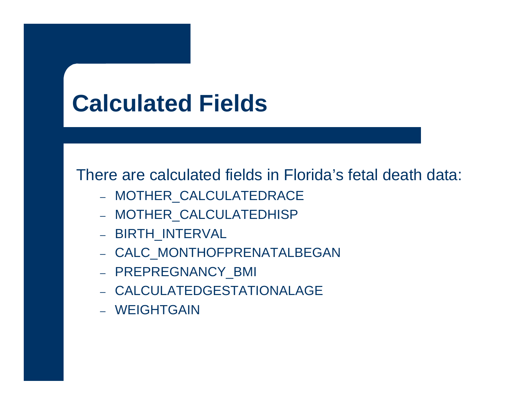## **Calculated Fields**

There are calculated fields in Florida's fetal death data:

- MOTHER\_CALCULATEDRACE
- MOTHER\_CALCULATEDHISP
- BIRTH\_INTERVAL
- CALC\_MONTHOFPRENATALBEGAN
- PREPREGNANCY\_BMI
- CALCULATEDGESTATIONALAGE
- WEIGHTGAIN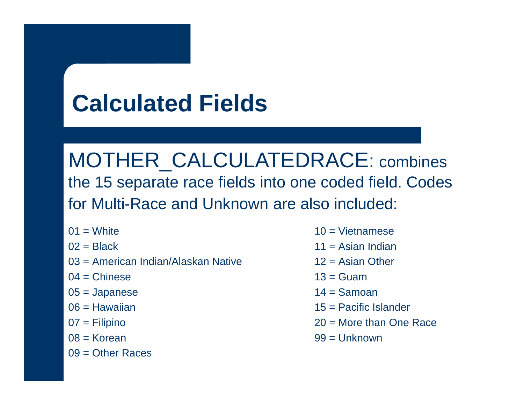# **Calculated Fields**

MOTHER\_CALCULATEDRACE: combines the 15 separate race fields into one coded field. Codes for Multi-Race and Unknown are also included:

- $01 =$  White
- $02$  = Black
- 03 = American Indian/Alaskan Native
- $04$  = Chinese
- 05 = Japanese
- 06 = Hawaiian
- 07 = Filipino
- 08 = Korean
- $09 =$ Other Races
- $10 = \text{Vietnamese}$
- $11 =$  Asian Indian
- $12$  = Asian Other
- $13 =$  Guam
- $14 =$ Samoan
- 15 = Pacific Islander
- 20 = More than One Race
- 99 = Unknown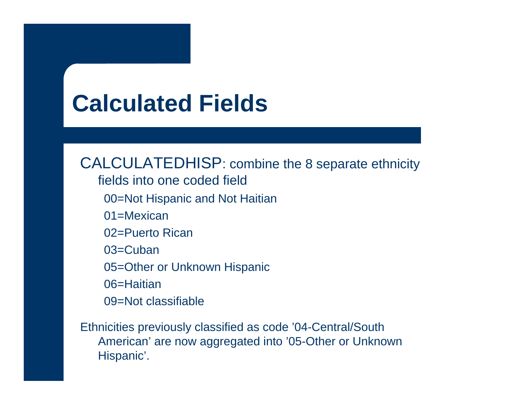## **Calculated Fields**

CALCULATEDHISP: combine the 8 separate ethnicity fields into one coded field00=Not Hispanic and Not Haitian 01=Mexican 02=Puerto Rican 03=Cuban 05=Other or Unknown Hispanic 06=Haitian 09=Not classifiable

Ethnicities previously classified as code '04-Central/South American' are now aggregated into '05-Other or Unknown Hispanic'.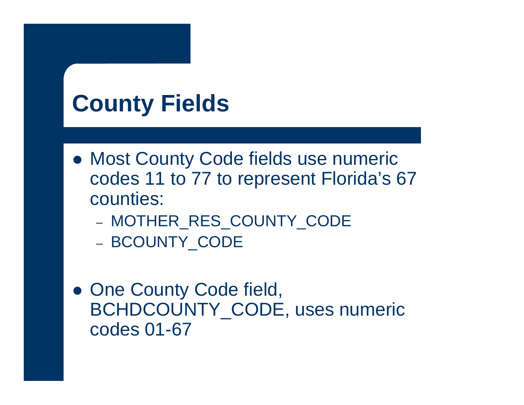# **County Fields**

- Most County Code fields use numeric codes 11 to 77 to represent Florida's 67 counties:
	- MOTHER\_RES\_COUNTY\_CODE
	- BCOUNTY\_CODE
- One County Code field, BCHDCOUNTY\_CODE, uses numeric codes 01-67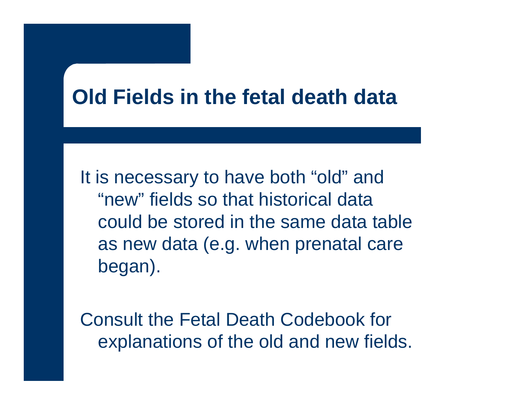### **Old Fields in the fetal death data**

It is necessary to have both "old" and "new" fields so that historical data could be stored in the same data table as new data (e.g. when prenatal care began).

Consult the Fetal Death Codebook for explanations of the old and new fields.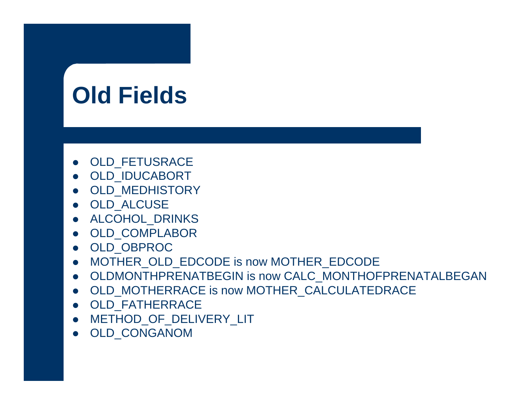# **Old Fields**

- OLD\_FETUSRACE
- OLD\_IDUCABORT
- OLD\_MEDHISTORY
- OLD\_ALCUSE
- ALCOHOL\_DRINKS
- OLD\_COMPLABOR
- OLD\_OBPROC
- MOTHER\_OLD\_EDCODE is now MOTHER\_EDCODE
- $\bullet$  OLDMONTHPRENATBEGIN is now CALC\_MONTHOFPRENATALBEGAN
- z OLD\_MOTHERRACE is now MOTHER\_CALCULATEDRACE
- OLD\_FATHERRACE
- METHOD\_OF\_DELIVERY\_LIT
- z OLD\_CONGANOM